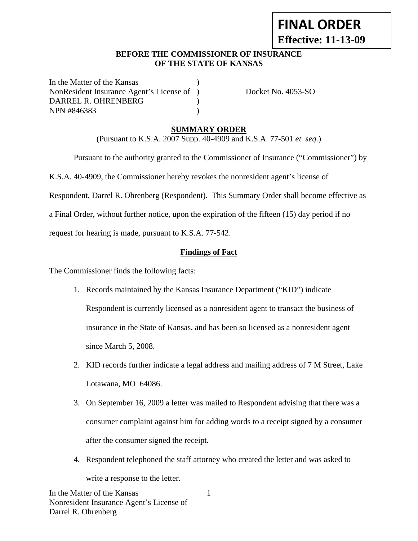# **FINAL ORDER Effective: 11-13-09**

#### **BEFORE THE COMMISSIONER OF INSURANCE OF THE STATE OF KANSAS**

In the Matter of the Kansas NonResident Insurance Agent's License of ) Docket No. 4053-SO DARREL R. OHRENBERG ) NPN #846383 )

# **SUMMARY ORDER**

(Pursuant to K.S.A. 2007 Supp. 40-4909 and K.S.A. 77-501 *et. seq.*)

 Pursuant to the authority granted to the Commissioner of Insurance ("Commissioner") by K.S.A. 40-4909, the Commissioner hereby revokes the nonresident agent's license of Respondent, Darrel R. Ohrenberg (Respondent). This Summary Order shall become effective as a Final Order, without further notice, upon the expiration of the fifteen (15) day period if no request for hearing is made, pursuant to K.S.A. 77-542.

**Findings of Fact**

The Commissioner finds the following facts:

- 1. Records maintained by the Kansas Insurance Department ("KID") indicate Respondent is currently licensed as a nonresident agent to transact the business of insurance in the State of Kansas, and has been so licensed as a nonresident agent since March 5, 2008.
- 2. KID records further indicate a legal address and mailing address of 7 M Street, Lake Lotawana, MO 64086.
- 3. On September 16, 2009 a letter was mailed to Respondent advising that there was a consumer complaint against him for adding words to a receipt signed by a consumer after the consumer signed the receipt.
- 4. Respondent telephoned the staff attorney who created the letter and was asked to write a response to the letter.

1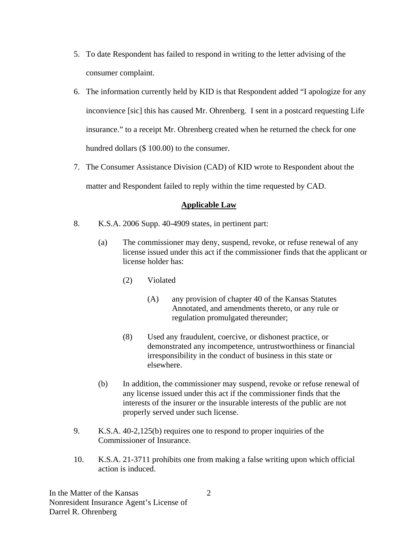- 5. To date Respondent has failed to respond in writing to the letter advising of the consumer complaint.
- 6. The information currently held by KID is that Respondent added "I apologize for any inconvience [sic] this has caused Mr. Ohrenberg. I sent in a postcard requesting Life insurance." to a receipt Mr. Ohrenberg created when he returned the check for one hundred dollars (\$ 100.00) to the consumer.
- 7. The Consumer Assistance Division (CAD) of KID wrote to Respondent about the matter and Respondent failed to reply within the time requested by CAD.

# **Applicable Law**

- 8. K.S.A. 2006 Supp. 40-4909 states, in pertinent part:
	- (a) The commissioner may deny, suspend, revoke, or refuse renewal of any license issued under this act if the commissioner finds that the applicant or license holder has:
		- (2) Violated
			- (A) any provision of chapter 40 of the Kansas Statutes Annotated, and amendments thereto, or any rule or regulation promulgated thereunder;
		- (8) Used any fraudulent, coercive, or dishonest practice, or demonstrated any incompetence, untrustworthiness or financial irresponsibility in the conduct of business in this state or elsewhere.
	- (b) In addition, the commissioner may suspend, revoke or refuse renewal of any license issued under this act if the commissioner finds that the interests of the insurer or the insurable interests of the public are not properly served under such license.
- 9. K.S.A. 40-2,125(b) requires one to respond to proper inquiries of the Commissioner of Insurance.
- 10. K.S.A. 21-3711 prohibits one from making a false writing upon which official action is induced.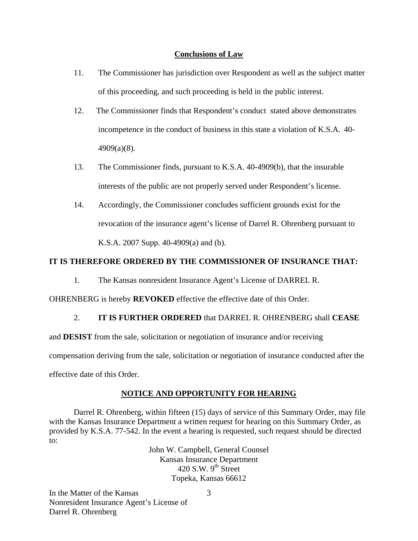#### **Conclusions of Law**

- 11. The Commissioner has jurisdiction over Respondent as well as the subject matter of this proceeding, and such proceeding is held in the public interest.
- 12. The Commissioner finds that Respondent's conduct stated above demonstrates incompetence in the conduct of business in this state a violation of K.S.A. 40- 4909(a)(8).
- 13. The Commissioner finds, pursuant to K.S.A. 40-4909(b), that the insurable interests of the public are not properly served under Respondent's license.
- 14. Accordingly, the Commissioner concludes sufficient grounds exist for the revocation of the insurance agent's license of Darrel R. Ohrenberg pursuant to K.S.A. 2007 Supp. 40-4909(a) and (b).

## **IT IS THEREFORE ORDERED BY THE COMMISSIONER OF INSURANCE THAT:**

1. The Kansas nonresident Insurance Agent's License of DARREL R.

OHRENBERG is hereby **REVOKED** effective the effective date of this Order.

## 2. **IT IS FURTHER ORDERED** that DARREL R. OHRENBERG shall **CEASE**

and **DESIST** from the sale, solicitation or negotiation of insurance and/or receiving compensation deriving from the sale, solicitation or negotiation of insurance conducted after the effective date of this Order.

## **NOTICE AND OPPORTUNITY FOR HEARING**

Darrel R. Ohrenberg, within fifteen (15) days of service of this Summary Order, may file with the Kansas Insurance Department a written request for hearing on this Summary Order, as provided by K.S.A. 77-542. In the event a hearing is requested, such request should be directed to:

> John W. Campbell, General Counsel Kansas Insurance Department 420 S.W.  $9<sup>th</sup>$  Street Topeka, Kansas 66612

In the Matter of the Kansas Nonresident Insurance Agent's License of Darrel R. Ohrenberg

3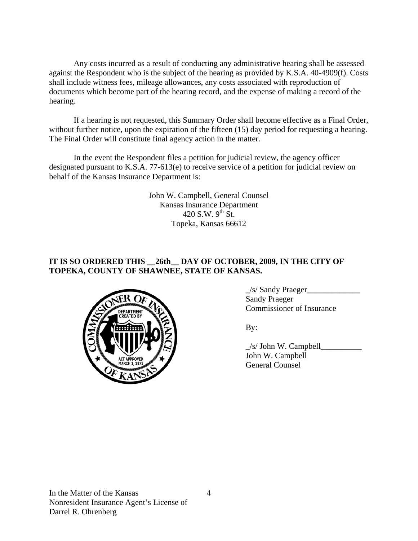Any costs incurred as a result of conducting any administrative hearing shall be assessed against the Respondent who is the subject of the hearing as provided by K.S.A. 40-4909(f). Costs shall include witness fees, mileage allowances, any costs associated with reproduction of documents which become part of the hearing record, and the expense of making a record of the hearing.

If a hearing is not requested, this Summary Order shall become effective as a Final Order, without further notice, upon the expiration of the fifteen (15) day period for requesting a hearing. The Final Order will constitute final agency action in the matter.

In the event the Respondent files a petition for judicial review, the agency officer designated pursuant to K.S.A. 77-613(e) to receive service of a petition for judicial review on behalf of the Kansas Insurance Department is:

> John W. Campbell, General Counsel Kansas Insurance Department 420 S.W.  $9^{th}$  St. Topeka, Kansas 66612

# **IT IS SO ORDERED THIS \_\_26th\_\_ DAY OF OCTOBER, 2009, IN THE CITY OF TOPEKA, COUNTY OF SHAWNEE, STATE OF KANSAS.**



 **\_**/s/ Sandy Praeger**\_\_\_\_\_\_\_\_\_\_\_\_\_** Sandy Praeger

 $\angle$ s/ John W. Campbell $\angle$  John W. Campbell General Counsel